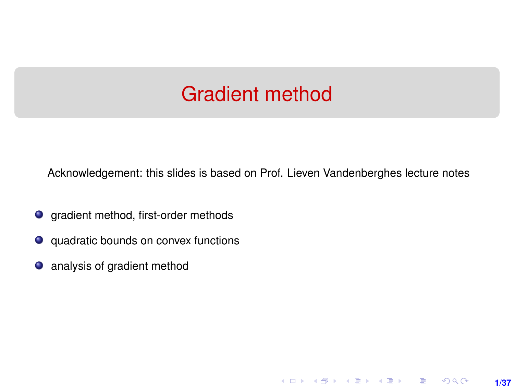# Gradient method

<span id="page-0-0"></span>Acknowledgement: this slides is based on Prof. Lieven Vandenberghes lecture notes

**1/37**

K ロ ▶ K 레 ▶ K 호 ▶ K 호 ▶ → 호 → 900

- **O** gradient method, first-order methods
- quadratic bounds on convex functions
- analysis of gradient method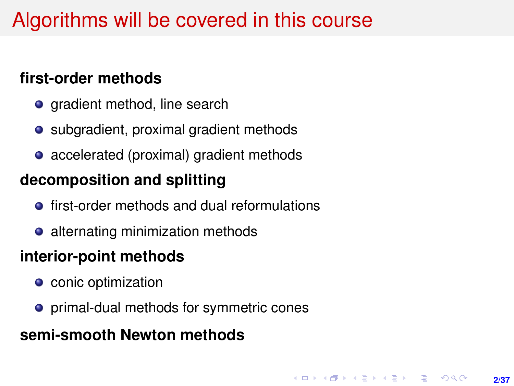# Algorithms will be covered in this course

#### **first-order methods**

- gradient method, line search
- subgradient, proximal gradient methods
- accelerated (proximal) gradient methods

#### **decomposition and splitting**

- **•** first-order methods and dual reformulations
- alternating minimization methods

#### **interior-point methods**

- **o** conic optimization
- primal-dual methods for symmetric cones

#### **semi-smooth Newton methods**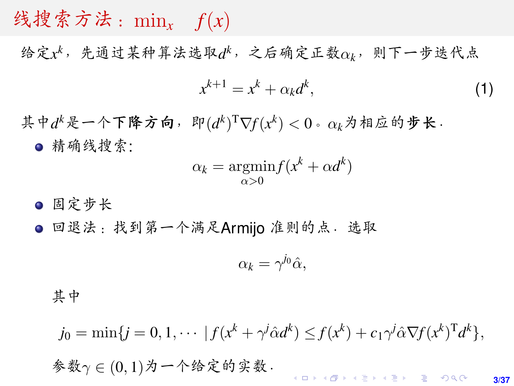# <sup>线</sup>搜索方法:min*<sup>x</sup> <sup>f</sup>*(*x*)

给定*x <sup>k</sup>*,先通过某种算法选取*<sup>d</sup> <sup>k</sup>*,之后确定正数α*k*,则下一步迭代<sup>点</sup>

$$
x^{k+1} = x^k + \alpha_k d^k, \tag{1}
$$

**3/37**

其中*d*<sup>k</sup>是一个下降方向,即 $(d^k)$ <sup>T</sup> $\nabla f(x^k) < 0$ 。 $\alpha_k$ 为相应的步长. <sup>精</sup>确线搜索:

$$
\alpha_k = \underset{\alpha > 0}{\operatorname{argmin}} f(x^k + \alpha d^k)
$$

● 固定步长

● 回退法: 找到第一个满足Armijo 准则的点. 选取

$$
\alpha_k = \gamma^{j_0} \hat{\alpha},
$$

其中

$$
j_0 = \min\{j = 0, 1, \cdots | f(x^k + \gamma^j \hat{\alpha} d^k) \leq f(x^k) + c_1 \gamma^j \hat{\alpha} \nabla f(x^k)^\mathrm{T} d^k \},\
$$
  
 
$$
\hat{\mathcal{F}} \hat{\mathcal{R}} \gamma \in (0, 1) \hat{\mathcal{H}} \longrightarrow \hat{\mathcal{F}} \hat{\mathcal{R}} \hat{\mathcal{F}} \hat{\mathcal{R}}.
$$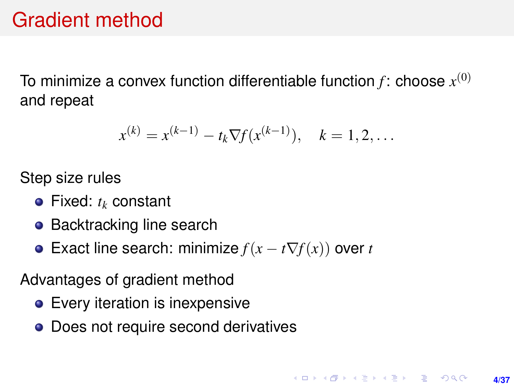# Gradient method

To minimize a convex function differentiable function  $f$ : choose  $x^{(0)}$ and repeat

$$
x^{(k)} = x^{(k-1)} - t_k \nabla f(x^{(k-1)}), \quad k = 1, 2, \dots
$$

Step size rules

- Fixed: *t<sup>k</sup>* constant
- Backtracking line search
- $\bullet$  Exact line search: minimize  $f(x t\nabla f(x))$  over *t*

Advantages of gradient method

- Every iteration is inexpensive
- Does not require second derivatives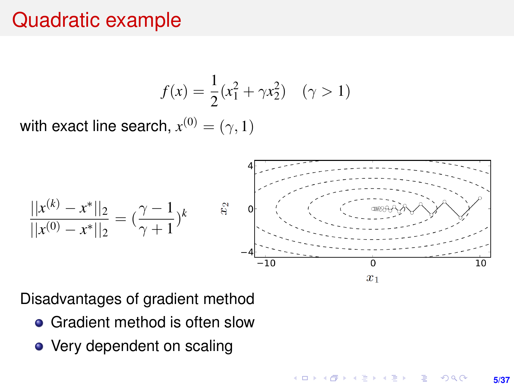# <span id="page-4-0"></span>Quadratic example

$$
f(x) = \frac{1}{2}(x_1^2 + \gamma x_2^2) \quad (\gamma > 1)
$$

with exact line search,  $x^{(0)}=(\gamma,1)$ 



Disadvantages of gradient method

- Gradient method is often slow
- Very dependent on scaling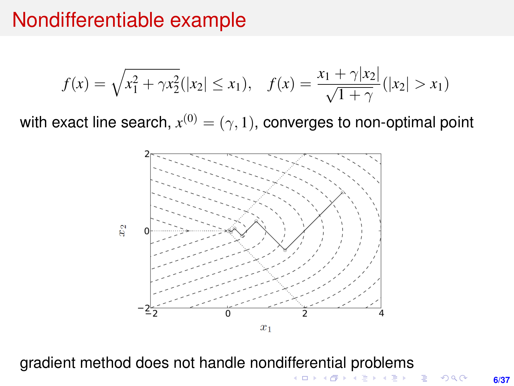## <span id="page-5-0"></span>Nondifferentiable example

$$
f(x) = \sqrt{x_1^2 + \gamma x_2^2} (|x_2| \le x_1), \quad f(x) = \frac{x_1 + \gamma |x_2|}{\sqrt{1 + \gamma}} (|x_2| > x_1)
$$

with exact line search,  $x^{(0)}=(\gamma,1)$ , converges to non-optimal point



gradient method does not handle nondi[ffe](#page-4-0)[re](#page-6-0)[n](#page-4-0)[tia](#page-5-0)[l](#page-6-0) [pr](#page-0-0)[ob](#page-36-0)[le](#page-0-0)[m](#page-36-0)[s](#page-0-0)

**6/37**

一番

K ロ ▶ K 何 ▶ K ヨ ▶ K ヨ ▶

 $-990$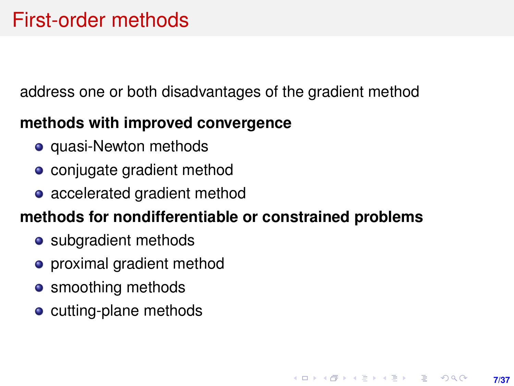# <span id="page-6-0"></span>First-order methods

address one or both disadvantages of the gradient method

### **methods with improved convergence**

- quasi-Newton methods
- conjugate gradient method
- accelerated gradient method

### **methods for nondifferentiable or constrained problems**

- subgradient methods
- **•** proximal gradient method
- **•** smoothing methods
- cutting-plane methods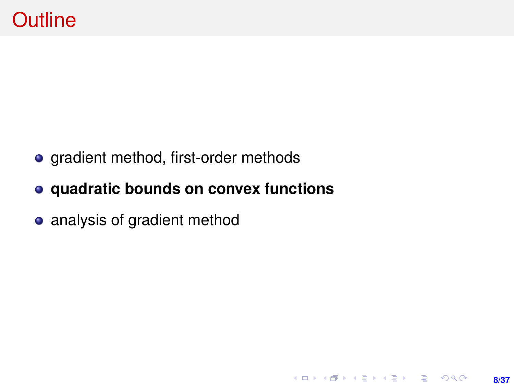• gradient method, first-order methods

### **quadratic bounds on convex functions**

• analysis of gradient method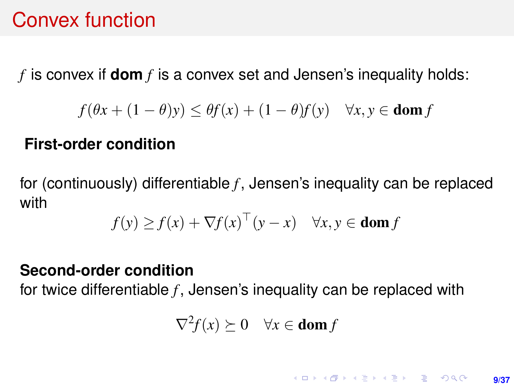# Convex function

*f* is convex if **dom** *f* is a convex set and Jensen's inequality holds:

$$
f(\theta x + (1 - \theta)y) \le \theta f(x) + (1 - \theta)f(y) \quad \forall x, y \in \text{dom } f
$$

#### **First-order condition**

for (continuously) differentiable *f* , Jensen's inequality can be replaced with

$$
f(y) \ge f(x) + \nabla f(x)^\top (y - x) \quad \forall x, y \in \text{dom } f
$$

#### **Second-order condition**

for twice differentiable *f*, Jensen's inequality can be replaced with

$$
\nabla^2 f(x) \succeq 0 \quad \forall x \in \textbf{dom}\, f
$$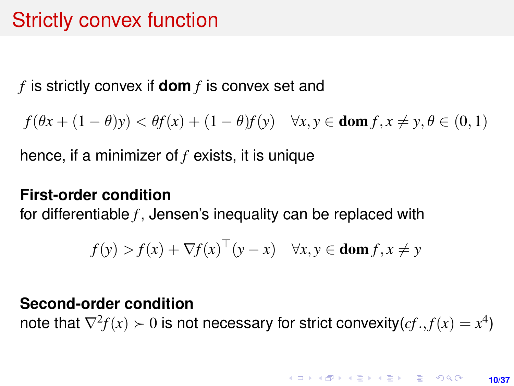# Strictly convex function

*f* is strictly convex if **dom** *f* is convex set and

 $f(\theta x + (1 - \theta)y) < \theta f(x) + (1 - \theta)f(y) \quad \forall x, y \in \text{dom } f, x \neq y, \theta \in (0, 1)$ 

hence, if a minimizer of *f* exists, it is unique

#### **First-order condition**

for differentiable *f*, Jensen's inequality can be replaced with

$$
f(y) > f(x) + \nabla f(x)^\top (y - x) \quad \forall x, y \in \text{dom } f, x \neq y
$$

#### **Second-order condition**

note that  $\nabla^2 f(x) \succ 0$  is not necessary for strict convexity $(cf., f(x) = x^4)$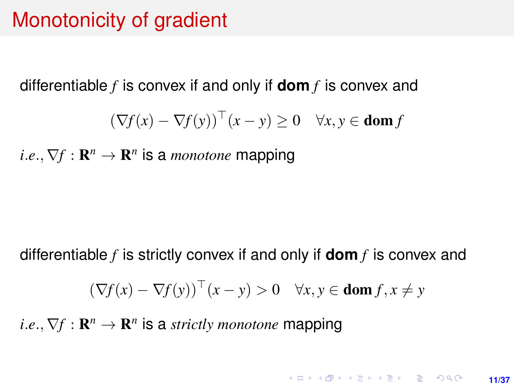## Monotonicity of gradient

differentiable *f* is convex if and only if **dom** *f* is convex and

$$
(\nabla f(x) - \nabla f(y))^\top (x - y) \ge 0 \quad \forall x, y \in \text{dom } f
$$

 $i.e., \nabla f: \mathbf{R}^n \to \mathbf{R}^n$  is a *monotone* mapping

differentiable *f* is strictly convex if and only if **dom** *f* is convex and

$$
(\nabla f(x) - \nabla f(y))^\top (x - y) > 0 \quad \forall x, y \in \text{dom } f, x \neq y
$$

 $i.e., \nabla f : \mathbf{R}^n \to \mathbf{R}^n$  is a *strictly monotone* mapping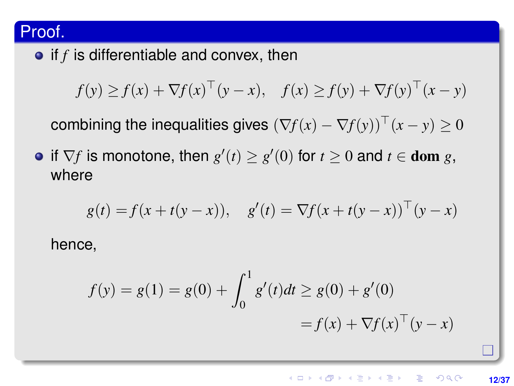#### Proof.

 $\bullet$  if  $f$  is differentiable and convex, then

 $f(y) \ge f(x) + \nabla f(x)^\top (y - x), \quad f(x) \ge f(y) + \nabla f(y)^\top (x - y)$ 

combining the inequalities gives  $(\nabla f(x) - \nabla f(y))^\top (x - y) \geq 0$ 

if  $\nabla f$  is monotone, then  $g'(t) \ge g'(0)$  for  $t \ge 0$  and  $t \in$  **dom** *g*, where

$$
g(t) = f(x + t(y - x)),
$$
  $g'(t) = \nabla f(x + t(y - x))^\top (y - x)$ 

hence,

$$
f(y) = g(1) = g(0) + \int_0^1 g'(t)dt \ge g(0) + g'(0)
$$

$$
= f(x) + \nabla f(x)^\top (y - x)
$$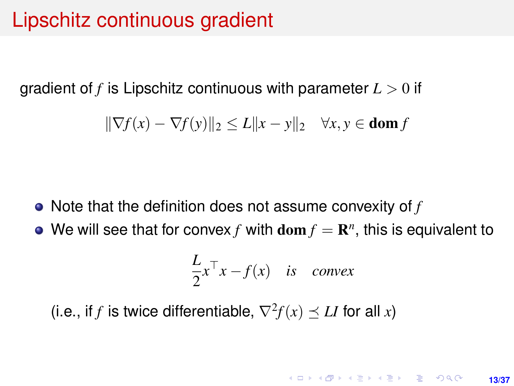# Lipschitz continuous gradient

gradient of *f* is Lipschitz continuous with parameter *L* > 0 if

$$
\|\nabla f(x) - \nabla f(y)\|_2 \le L\|x - y\|_2 \quad \forall x, y \in \text{dom } f
$$

- Note that the definition does not assume convexity of *f*
- We will see that for convex  $f$  with  $\textbf{dom } f = \mathbf{R}^n$ , this is equivalent to

$$
\frac{L}{2}x^{\top}x - f(x) \quad \text{is} \quad \text{convex}
$$

(i.e., if *f* is twice differentiable,  $\nabla^2 f(x) \preceq L I$  for all *x*)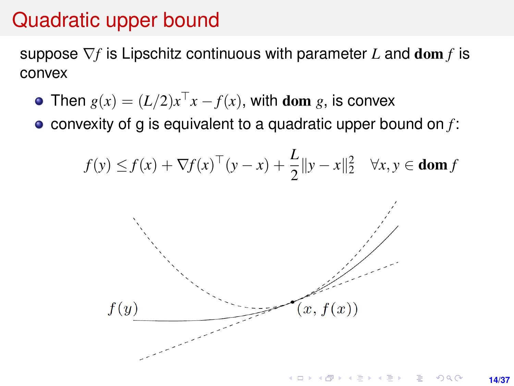# Quadratic upper bound

suppose ∇*f* is Lipschitz continuous with parameter *L* and dom *f* is convex

- Then  $g(x) = (L/2)x^{\top}x f(x)$ , with dom *g*, is convex
- convexity of g is equivalent to a quadratic upper bound on *f* :

$$
f(y) \le f(x) + \nabla f(x)^\top (y - x) + \frac{L}{2} \|y - x\|_2^2 \quad \forall x, y \in \text{dom } f
$$

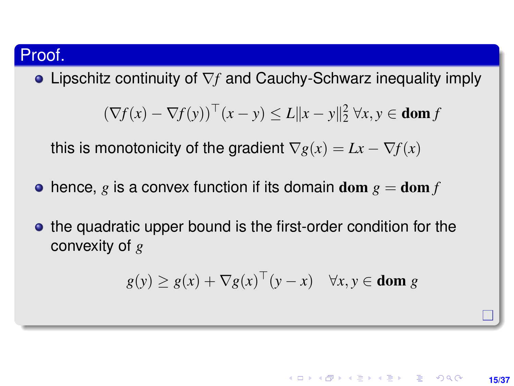#### Proof.

Lipschitz continuity of ∇*f* and Cauchy-Schwarz inequality imply

$$
(\nabla f(x) - \nabla f(y))^\top (x - y) \le L \|x - y\|_2^2 \,\forall x, y \in \text{dom } f
$$

this is monotonicity of the gradient  $\nabla g(x) = Lx - \nabla f(x)$ 

- $\bullet$  hence, g is a convex function if its domain dom  $g = \text{dom } f$
- the quadratic upper bound is the first-order condition for the convexity of *g*

$$
g(y) \ge g(x) + \nabla g(x)^\top (y - x) \quad \forall x, y \in \text{dom } g
$$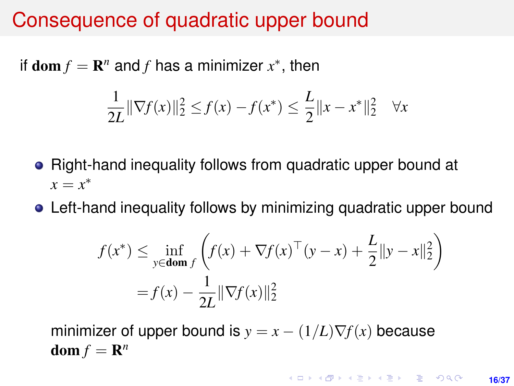## Consequence of quadratic upper bound

<span id="page-15-0"></span>if  $\textbf{dom} f = \mathbf{R}^n$  and *f* has a minimizer  $x^*$ , then

$$
\frac{1}{2L} \|\nabla f(x)\|_2^2 \le f(x) - f(x^*) \le \frac{L}{2} \|x - x^*\|_2^2 \quad \forall x
$$

- Right-hand inequality follows from quadratic upper bound at  $x = x^*$
- Left-hand inequality follows by minimizing quadratic upper bound

$$
f(x^*) \le \inf_{y \in \text{dom } f} \left( f(x) + \nabla f(x)^\top (y - x) + \frac{L}{2} ||y - x||_2^2 \right)
$$
  
=  $f(x) - \frac{1}{2L} ||\nabla f(x)||_2^2$ 

minimizer of upper bound is  $y = x - (1/L)\nabla f(x)$  because  $\text{dom } f = \mathbf{R}^n$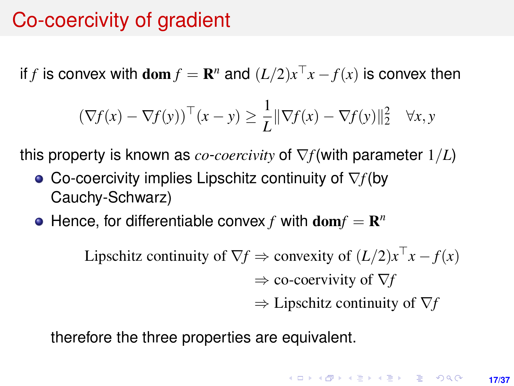# Co-coercivity of gradient

if *f* is convex with  $\textbf{dom } f = \mathbf{R}^n$  and  $(L/2)x^{\top}x - f(x)$  is convex then

$$
(\nabla f(x) - \nabla f(y))^\top (x - y) \ge \frac{1}{L} \|\nabla f(x) - \nabla f(y)\|_2^2 \quad \forall x, y
$$

this property is known as *co*-*coercivity* of ∇*f*(with parameter 1/*L*)

- Co-coercivity implies Lipschitz continuity of ∇*f*(by Cauchy-Schwarz)
- Hence, for differentiable convex  $f$  with  $dom f = \mathbb{R}^n$

Lipschitz continuity of  $\nabla f \Rightarrow$  convexity of  $(L/2)x^{\top}x - f(x)$ ⇒ co-coervivity of ∇*f* ⇒ Lipschitz continuity of ∇*f*

therefore the three properties are equivalent.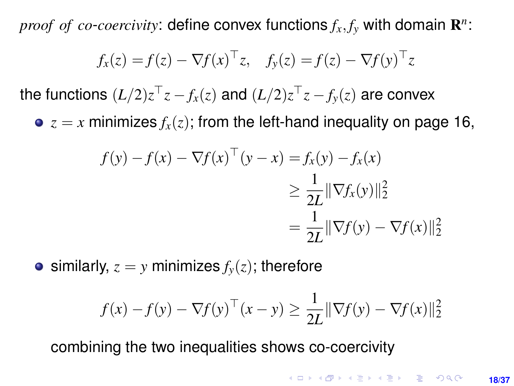*proof of co-coercivity*: define convex functions  $f_x, f_y$  with domain  $\mathbf{R}^n$ :

$$
f_x(z) = f(z) - \nabla f(x)^\top z, \quad f_y(z) = f(z) - \nabla f(y)^\top z
$$

the functions  $(L/2)z^{\top}z - f_x(z)$  and  $(L/2)z^{\top}z - f_y(z)$  are convex

 $\bullet$   $z = x$  minimizes  $f_x(z)$ ; from the left-hand inequality on page [16,](#page-15-0)

$$
f(y) - f(x) - \nabla f(x)^{\top} (y - x) = f_x(y) - f_x(x)
$$
  
\n
$$
\geq \frac{1}{2L} ||\nabla f_x(y)||_2^2
$$
  
\n
$$
= \frac{1}{2L} ||\nabla f(y) - \nabla f(x)||_2^2
$$

• similarly,  $z = y$  minimizes  $f_y(z)$ ; therefore

$$
f(x) - f(y) - \nabla f(y)^{\top}(x - y) \ge \frac{1}{2L} \|\nabla f(y) - \nabla f(x)\|_2^2
$$

combining the two inequalities shows co-coercivity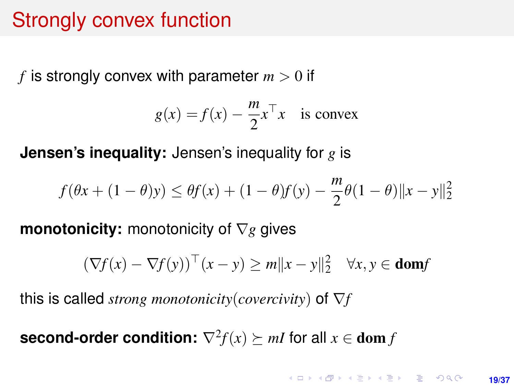# <span id="page-18-0"></span>Strongly convex function

*f* is strongly convex with parameter  $m > 0$  if

$$
g(x) = f(x) - \frac{m}{2}x^{\top}x
$$
 is convex

**Jensen's inequality:** Jensen's inequality for *g* is

$$
f(\theta x + (1 - \theta)y) \le \theta f(x) + (1 - \theta)f(y) - \frac{m}{2}\theta(1 - \theta)\|x - y\|_2^2
$$

**monotonicity:** monotonicity of ∇*g* gives

$$
(\nabla f(x) - \nabla f(y))^\top (x - y) \ge m \|x - y\|_2^2 \quad \forall x, y \in \text{dom} f
$$

this is called *strong monotonicity*(*covercivity*) of ∇*f*

**second-order condition:**  $\nabla^2 f(x) \succeq mI$  for all  $x \in \textbf{dom } f$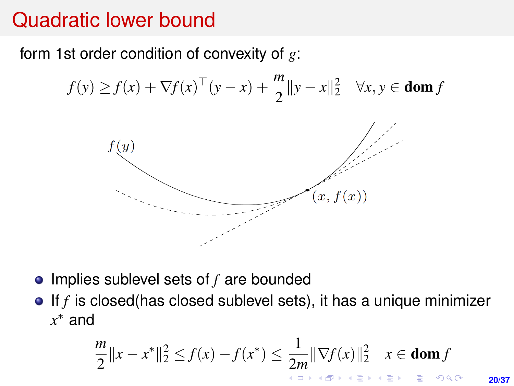# Quadratic lower bound

#### form 1st order condition of convexity of *g*:

$$
f(y) \ge f(x) + \nabla f(x)^\top (y - x) + \frac{m}{2} ||y - x||_2^2 \quad \forall x, y \in \text{dom } f
$$



- Implies sublevel sets of *f* are bounded
- $\bullet$  If *f* is closed(has closed sublevel sets), it has a unique minimizer *x* <sup>∗</sup> and

$$
\frac{m}{2}||x-x^*||_2^2 \le f(x)-f(x^*) \le \frac{1}{2m}||\nabla f(x)||_2^2 \quad x \in \textbf{dom}\, f
$$

**20/37**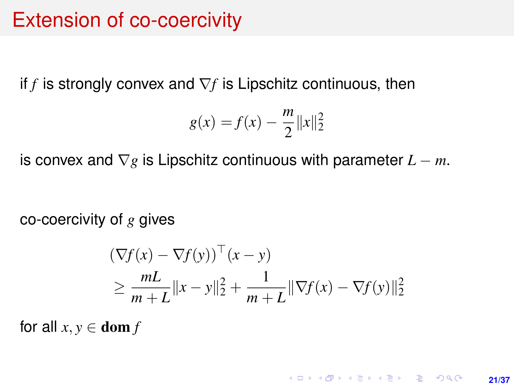## <span id="page-20-0"></span>Extension of co-coercivity

<span id="page-20-1"></span>if  $f$  is strongly convex and  $\nabla f$  is Lipschitz continuous, then

$$
g(x) = f(x) - \frac{m}{2} ||x||_2^2
$$

is convex and  $\nabla g$  is Lipschitz continuous with parameter  $L - m$ .

co-coercivity of *g* gives

$$
(\nabla f(x) - \nabla f(y))^{\top} (x - y)
$$
  
\n
$$
\geq \frac{mL}{m+L} ||x - y||_2^2 + \frac{1}{m+L} ||\nabla f(x) - \nabla f(y)||_2^2
$$

for all  $x, y \in \textbf{dom } f$ 

**KORKARK KERKER DRAM 21/37**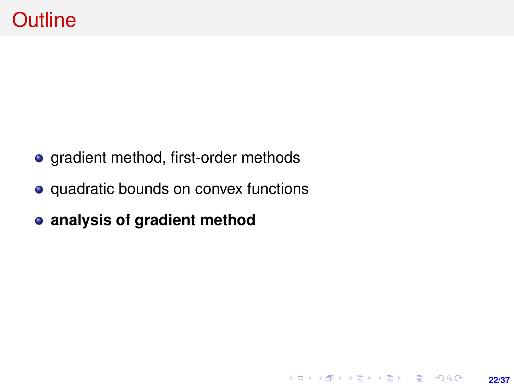- gradient method, first-order methods
- quadratic bounds on convex functions

**22/37**

**KORKARK KERKER DRAM** 

**analysis of gradient method**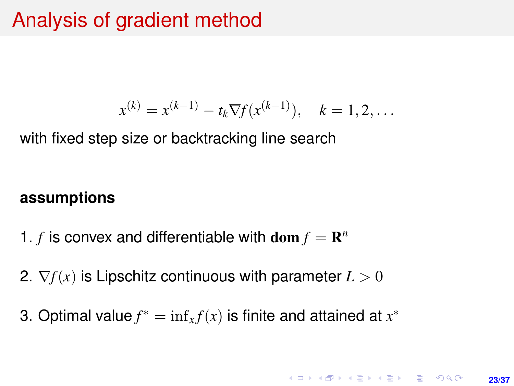# Analysis of gradient method

$$
x^{(k)} = x^{(k-1)} - t_k \nabla f(x^{(k-1)}), \quad k = 1, 2, \dots
$$

<span id="page-22-0"></span>with fixed step size or backtracking line search

#### **assumptions**

- 1. *f* is convex and differentiable with  $\textbf{dom } f = \mathbf{R}^n$
- 2.  $\nabla f(x)$  is Lipschitz continuous with parameter  $L > 0$
- 3. Optimal value  $f^* = \inf_x f(x)$  is finite and attained at  $x^*$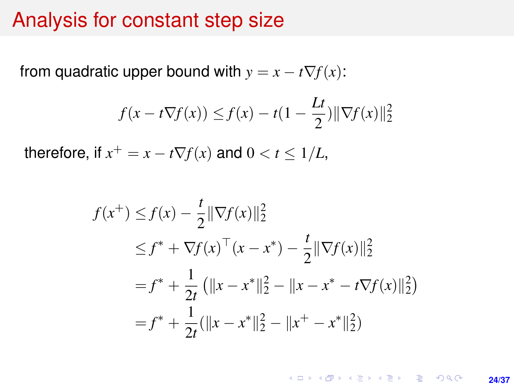### Analysis for constant step size

<span id="page-23-0"></span>from quadratic upper bound with  $y = x - t\nabla f(x)$ :

$$
f(x - t\nabla f(x)) \le f(x) - t(1 - \frac{Lt}{2})\|\nabla f(x)\|_2^2
$$

therefore, if  $x^+ = x - t\nabla f(x)$  and  $0 < t \leq 1/L$ ,

$$
f(x^{+}) \le f(x) - \frac{t}{2} \|\nabla f(x)\|_{2}^{2}
$$
  
\n
$$
\le f^{*} + \nabla f(x)^{\top} (x - x^{*}) - \frac{t}{2} \|\nabla f(x)\|_{2}^{2}
$$
  
\n
$$
= f^{*} + \frac{1}{2t} (\|x - x^{*}\|_{2}^{2} - \|x - x^{*} - t\nabla f(x)\|_{2}^{2})
$$
  
\n
$$
= f^{*} + \frac{1}{2t} (\|x - x^{*}\|_{2}^{2} - \|x^{+} - x^{*}\|_{2}^{2})
$$

KO KKO KARA VE KARA **24/37**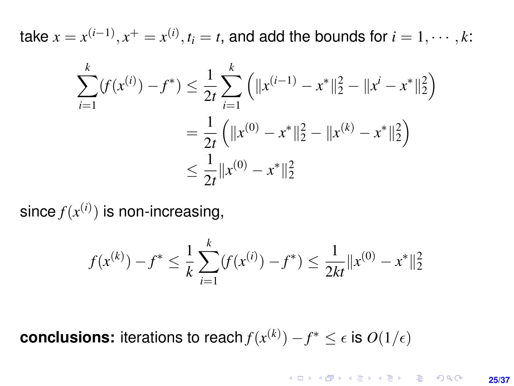take  $x = x^{(i-1)}, x^+ = x^{(i)}, t_i = t$ , and add the bounds for  $i = 1, \dots, k$ :

$$
\sum_{i=1}^{k} (f(x^{(i)}) - f^*) \le \frac{1}{2t} \sum_{i=1}^{k} \left( \|x^{(i-1)} - x^*\|_2^2 - \|x^i - x^*\|_2^2 \right)
$$
  
=  $\frac{1}{2t} \left( \|x^{(0)} - x^*\|_2^2 - \|x^{(k)} - x^*\|_2^2 \right)$   
 $\le \frac{1}{2t} \|x^{(0)} - x^*\|_2^2$ 

since  $f(x^{(i)})$  is non-increasing,

$$
f(x^{(k)}) - f^* \le \frac{1}{k} \sum_{i=1}^k (f(x^{(i)}) - f^*) \le \frac{1}{2kt} ||x^{(0)} - x^*||_2^2
$$

**conclusions:** iterations to reach  $f(x^{(k)}) - f^* \leq \epsilon$  is  $O(1/\epsilon)$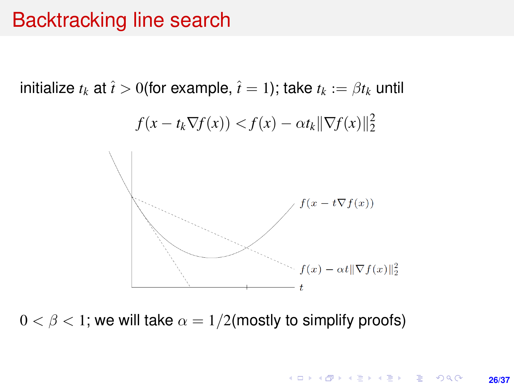## Backtracking line search

initialize  $t_k$  at  $\hat{t} > 0$  (for example,  $\hat{t} = 1$ ); take  $t_k := \beta t_k$  until



 $0 < \beta < 1$ ; we will take  $\alpha = 1/2$  (mostly to simplify proofs)

KORK ERKER ERKER **26/37**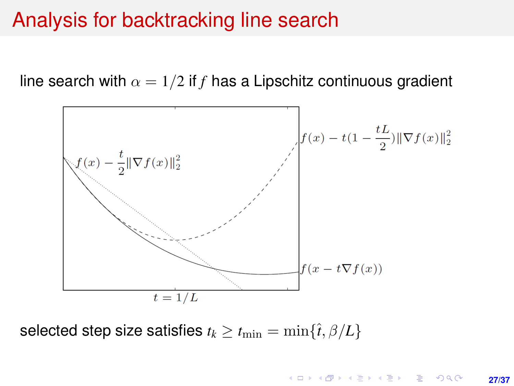### Analysis for backtracking line search

line search with  $\alpha = 1/2$  if f has a Lipschitz continuous gradient



selected step size satisfies  $t_k \geq t_{\min} = \min\{\hat{t}, \beta/L\}$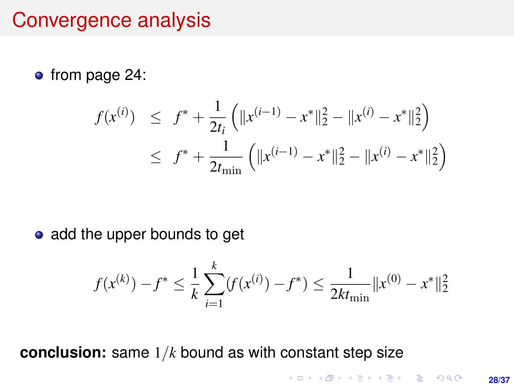## Convergence analysis

• from page [24:](#page-23-0)

$$
f(x^{(i)}) \leq f^* + \frac{1}{2t_i} \left( \|x^{(i-1)} - x^*\|_2^2 - \|x^{(i)} - x^*\|_2^2 \right)
$$
  

$$
\leq f^* + \frac{1}{2t_{\min}} \left( \|x^{(i-1)} - x^*\|_2^2 - \|x^{(i)} - x^*\|_2^2 \right)
$$

• add the upper bounds to get

$$
f(x^{(k)}) - f^* \le \frac{1}{k} \sum_{i=1}^k (f(x^{(i)}) - f^*) \le \frac{1}{2kt_{\min}} ||x^{(0)} - x^*||_2^2
$$

**conclusion:** same 1/*k* bound as with constant step size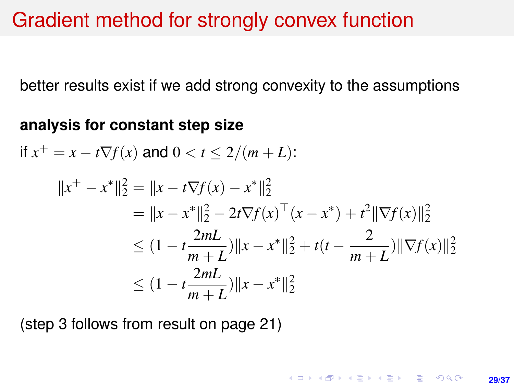## Gradient method for strongly convex function

better results exist if we add strong convexity to the assumptions

#### **analysis for constant step size**

$$
\text{if } x^+ = x - t \nabla f(x) \text{ and } 0 < t \le 2/(m+L):
$$

$$
||x^{+} - x^{*}||_{2}^{2} = ||x - t\nabla f(x) - x^{*}||_{2}^{2}
$$
  
\n
$$
= ||x - x^{*}||_{2}^{2} - 2t\nabla f(x)^{\top}(x - x^{*}) + t^{2}||\nabla f(x)||_{2}^{2}
$$
  
\n
$$
\leq (1 - t\frac{2mL}{m+L})||x - x^{*}||_{2}^{2} + t(t - \frac{2}{m+L})||\nabla f(x)||_{2}^{2}
$$
  
\n
$$
\leq (1 - t\frac{2mL}{m+L})||x - x^{*}||_{2}^{2}
$$

(step 3 follows from result on page [21\)](#page-20-1)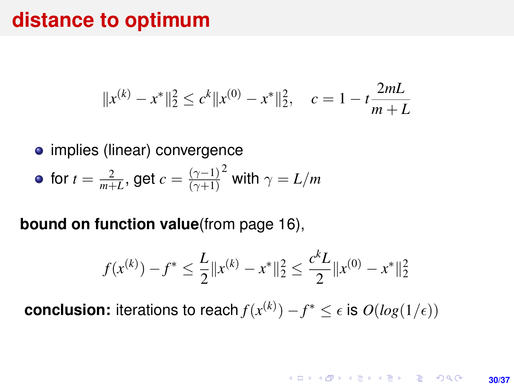### **distance to optimum**

$$
||x^{(k)} - x^*||_2^2 \le c^k ||x^{(0)} - x^*||_2^2
$$
,  $c = 1 - t \frac{2mL}{m+L}$ 

• implies (linear) convergence

• for 
$$
t = \frac{2}{m+L}
$$
, get  $c = \frac{(\gamma - 1)^2}{(\gamma + 1)^2}$  with  $\gamma = L/m$ 

#### **bound on function value**(from page [16\)](#page-15-0),

$$
f(x^{(k)}) - f^* \le \frac{L}{2} ||x^{(k)} - x^*||_2^2 \le \frac{c^k L}{2} ||x^{(0)} - x^*||_2^2
$$

**conclusion:** iterations to reach  $f(x^{(k)}) - f^* \le \epsilon$  is  $O(log(1/\epsilon))$ 

**KORKARK KERKER DRAM 30/37**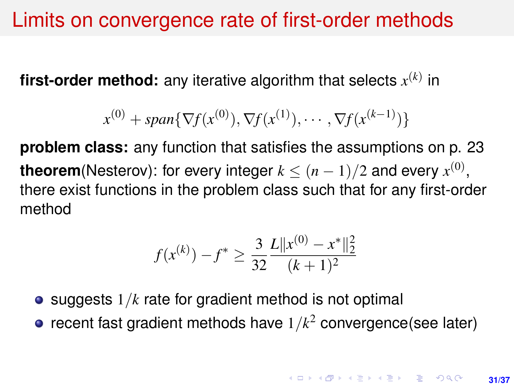## Limits on convergence rate of first-order methods

**first-order method:** any iterative algorithm that selects *x* (*k*) in

$$
x^{(0)} + span{\nabla f(x^{(0)}), \nabla f(x^{(1)}), \cdots, \nabla f(x^{(k-1)})\}
$$

**problem class:** any function that satisfies the assumptions on p. [23](#page-22-0) **theorem**(Nesterov): for every integer  $k \leq (n-1)/2$  and every  $x^{(0)}$ , there exist functions in the problem class such that for any first-order method

$$
f(x^{(k)}) - f^* \ge \frac{3}{32} \frac{L \|x^{(0)} - x^*\|_2^2}{(k+1)^2}
$$

- $\bullet$  suggests  $1/k$  rate for gradient method is not optimal
- recent fast gradient methods have 1/*k* <sup>2</sup> convergence(see later)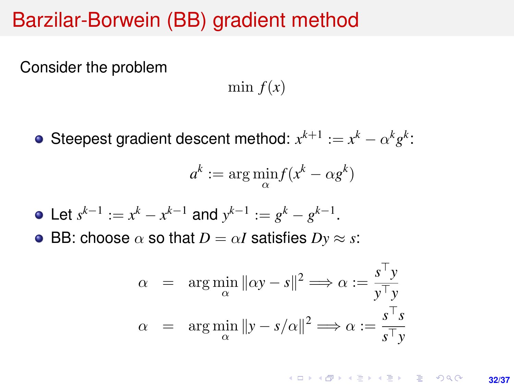## Barzilar-Borwein (BB) gradient method

Consider the problem

min  $f(x)$ 

Steepest gradient descent method:  $x^{k+1} := x^k - \alpha^k g^k$ :

$$
a^k := \arg\min_{\alpha} f(x^k - \alpha g^k)
$$

- Let  $s^{k-1} := x^k x^{k-1}$  and  $y^{k-1} := g^k g^{k-1}$ .
- BB: choose  $\alpha$  so that  $D = \alpha I$  satisfies  $Dy \approx s$ :

$$
\alpha = \arg\min_{\alpha} \|\alpha y - s\|^2 \Longrightarrow \alpha := \frac{s^{\top} y}{y^{\top} y}
$$

$$
\alpha = \arg\min_{\alpha} \|y - s/\alpha\|^2 \Longrightarrow \alpha := \frac{s^{\top} s}{s^{\top} y}
$$

**KORKARK A BIK BIKA A GA A GA A GA A BIKA A BIKA A BIKA A BIKA A BIKA A BIKA A BIKA A BIKA A BIKA A BIKA A BIKA 32/37**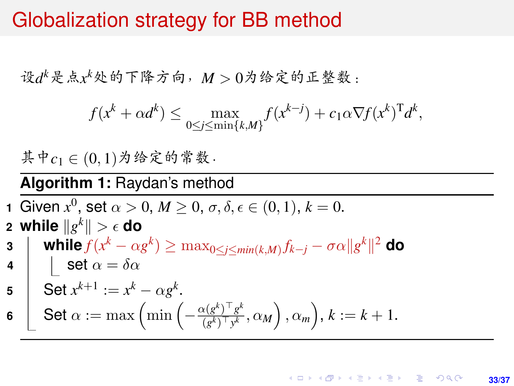## Globalization strategy for BB method

设*d <sup>k</sup>*是点*x <sup>k</sup>*处的下降方向,*<sup>M</sup>* <sup>&</sup>gt; <sup>0</sup>为给定的正整数:

$$
f(x^{k} + \alpha d^{k}) \le \max_{0 \le j \le \min\{k, M\}} f(x^{k-j}) + c_1 \alpha \nabla f(x^{k})^{\mathrm{T}} d^{k},
$$

<sup>其</sup>中*c*<sup>1</sup> <sup>∈</sup> (0, <sup>1</sup>)为给定的常数.

#### **Algorithm 1:** Raydan's method

**1** Given  $x^0$ , set  $\alpha > 0$ ,  $M \ge 0$ ,  $\sigma, \delta, \epsilon \in (0, 1)$ ,  $k = 0$ . **2** while  $\|g^k\| > \epsilon$  do

**3**  $\|$  while  $f(x^k - \alpha g^k) \ge \max_{0 \le j \le min(k,M)} f_{k-j} - \sigma \alpha \|g^k\|^2$  do **4**  $\vert$  **set**  $\alpha = \delta \alpha$ 

$$
5 \quad \text{Set } x^{k+1} := x^k - \alpha g^k.
$$

$$
\mathbf{6} \quad \boxed{\quad} \text{Set } \alpha := \max \left( \min \left( -\frac{\alpha (g^k)^\top g^k}{(g^k)^\top y^k}, \alpha_M \right), \alpha_m \right), k := k+1.
$$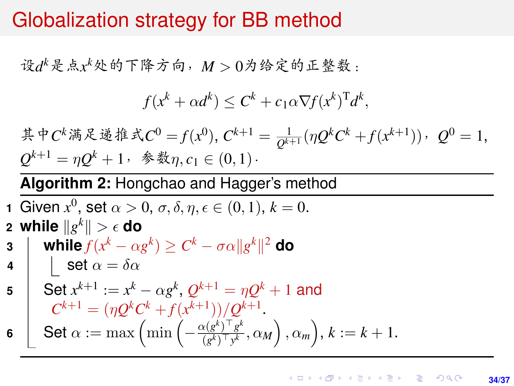## Globalization strategy for BB method

设*d <sup>k</sup>*是点*x <sup>k</sup>*处的下降方向,*<sup>M</sup>* <sup>&</sup>gt; <sup>0</sup>为给定的正整数:

$$
f(x^k + \alpha d^k) \leq C^k + c_1 \alpha \nabla f(x^k)^T d^k,
$$

\n
$$
\ddot{x} + C^k \ddot{x} + C^0 = f(x^0), \quad\n C^{k+1} = \frac{1}{Q^{k+1}} (\eta Q^k C^k + f(x^{k+1})), \quad\n Q^0 = 1,
$$
\n

\n\n $Q^{k+1} = \eta Q^k + 1, \quad\n \text{pm } \eta, \quad\n c_1 \in (0, 1).$ \n

### **Algorithm 2:** Hongchao and Hagger's method

1 Given 
$$
x^0
$$
, set  $\alpha > 0$ ,  $\sigma$ ,  $\delta$ ,  $\eta$ ,  $\epsilon \in (0, 1)$ ,  $k = 0$ .  
\n2 while  $||g^k|| > \epsilon$  do  
\n3 **while**  $f(x^k - \alpha g^k) \ge C^k - \sigma \alpha ||g^k||^2$  do  
\n4  $\left| \begin{array}{l} \text{set } \alpha = \delta \alpha \\ \text{set } \alpha = \delta \alpha \end{array} \right|$   
\n5 **Set**  $x^{k+1} := x^k - \alpha g^k$ ,  $Q^{k+1} = \eta Q^k + 1$  and  
\n $C^{k+1} = (\eta Q^k C^k + f(x^{k+1}))/Q^{k+1}$ .  
\n6 **Set**  $\alpha := \max \left( \min \left( -\frac{\alpha(g^k)^\top g^k}{(g^k)^\top y^k}, \alpha_M \right), \alpha_m \right), k := k + 1$ .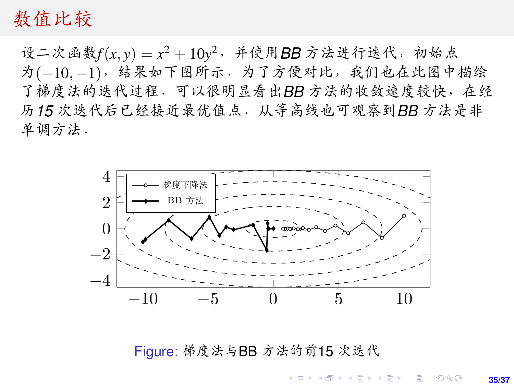### <span id="page-34-0"></span><sup>数</sup>值比<sup>较</sup>

设二次函数 $f(x, y) = x^2 + 10y^2$ ,并使用**BB** 方法进行迭代, 初始点<br>为(-10-1), 结果如下图所示, 为了方便对比, 我们也在此图中。 <sup>为</sup>(−10, <sup>−</sup>1),结果如下图所示.为了方便对比,我们也在此图中描<sup>绘</sup> <sup>了</sup>梯度法的迭代过程.可以很明显看出*BB* <sup>方</sup>法的收敛速度较快,在<sup>经</sup> <sup>历</sup>*<sup>15</sup>* 次迭代后已经接近最优值点.从等高线也可观察到*BB* <sup>方</sup>法是<sup>非</sup> <sup>单</sup>调方法.



Figure: <sup>梯</sup>度法与BB <sup>方</sup>法的前<sup>15</sup> [次](#page-35-0)迭<sup>代</sup>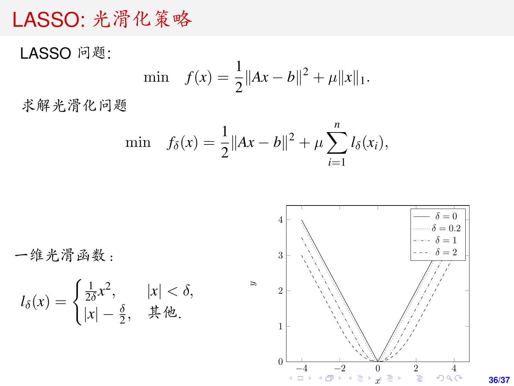## <span id="page-35-0"></span>LASSO: <sup>光</sup>滑化策<sup>略</sup>

LASSO <sup>问</sup>题: min  $f(x) = \frac{1}{2} ||Ax - b||^2 + \mu ||x||_1.$ <sup>求</sup>解光滑化问题

$$
\min \quad f_{\delta}(x) = \frac{1}{2} \|Ax - b\|^2 + \mu \sum_{i=1}^n l_{\delta}(x_i),
$$

一维光滑函数:

$$
l_{\delta}(x) = \begin{cases} \frac{1}{2\delta}x^2, & |x| < \delta, \\ |x| - \frac{\delta}{2}, & \text{if } \text{#.} \end{cases}
$$



**36/37**